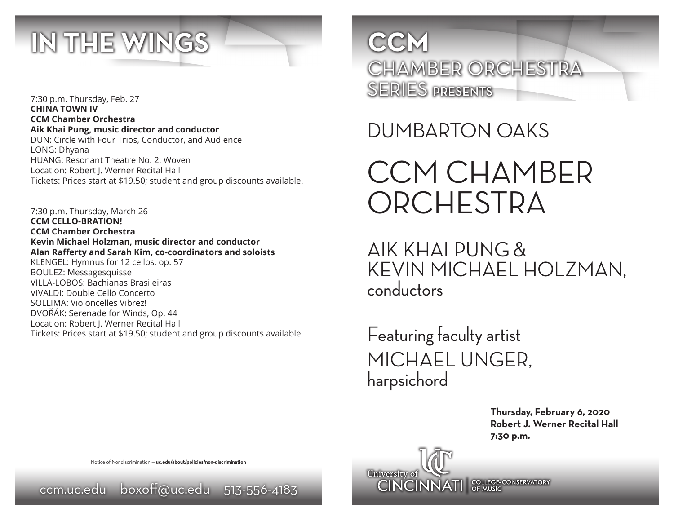

7:30 p.m. Thursday, Feb. 27 **CHINA TOWN IV CCM Chamber Orchestra Aik Khai Pung, music director and conductor** DUN: Circle with Four Trios, Conductor, and Audience LONG: Dhyana HUANG: Resonant Theatre No. 2: Woven Location: Robert J. Werner Recital Hall Tickets: Prices start at \$19.50; student and group discounts available.

7:30 p.m. Thursday, March 26 **CCM CELLO-BRATION! CCM Chamber Orchestra Kevin Michael Holzman, music director and conductor Alan Rafferty and Sarah Kim, co-coordinators and soloists** KLENGEL: Hymnus for 12 cellos, op. 57 BOULEZ: Messagesquisse VILLA-LOBOS: Bachianas Brasileiras VIVALDI: Double Cello Concerto SOLLIMA: Violoncelles Vibrez! DVOŘÁK: Serenade for Winds, Op. 44 Location: Robert J. Werner Recital Hall Tickets: Prices start at \$19.50; student and group discounts available.

**CCM** CHAMBER ORCHESTRA SERIES PRESENTS

DUMBARTON OAKS

CCM CHAMBER **ORCHESTRA** 

AIK KHAI PUNG & KEVIN MICHAEL HOLZMAN, conductors

Featuring faculty artist MICHAEL UNGER, harpsichord

**CINCINNATI** SPLACE CONSERVATORY

University of

**Thursday, February 6, 2020 Robert J. Werner Recital Hall 7:30 p.m.** 

Notice of Nondiscrimination — **uc.edu/about/policies/non-discrimination**

ccm.uc.edu boxoff@uc.edu 513-556-4183